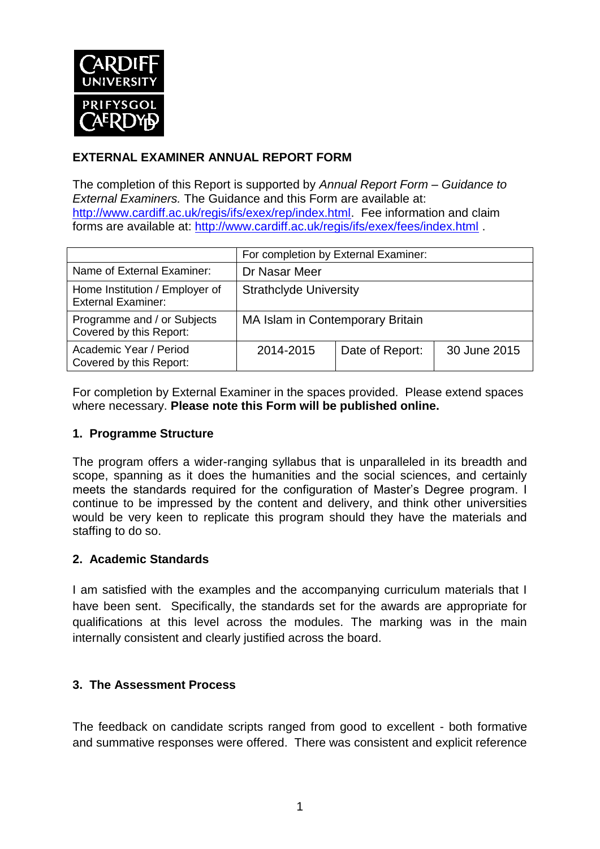

### **EXTERNAL EXAMINER ANNUAL REPORT FORM**

The completion of this Report is supported by *Annual Report Form – Guidance to External Examiners.* The Guidance and this Form are available at: <http://www.cardiff.ac.uk/regis/ifs/exex/rep/index.html>. Fee information and claim forms are available at: <http://www.cardiff.ac.uk/regis/ifs/exex/fees/index.html> .

|                                                             | For completion by External Examiner: |                 |              |  |
|-------------------------------------------------------------|--------------------------------------|-----------------|--------------|--|
| Name of External Examiner:                                  | Dr Nasar Meer                        |                 |              |  |
| Home Institution / Employer of<br><b>External Examiner:</b> | <b>Strathclyde University</b>        |                 |              |  |
| Programme and / or Subjects<br>Covered by this Report:      | MA Islam in Contemporary Britain     |                 |              |  |
| Academic Year / Period<br>Covered by this Report:           | 2014-2015                            | Date of Report: | 30 June 2015 |  |

For completion by External Examiner in the spaces provided. Please extend spaces where necessary. **Please note this Form will be published online.**

#### **1. Programme Structure**

The program offers a wider-ranging syllabus that is unparalleled in its breadth and scope, spanning as it does the humanities and the social sciences, and certainly meets the standards required for the configuration of Master's Degree program. I continue to be impressed by the content and delivery, and think other universities would be very keen to replicate this program should they have the materials and staffing to do so.

#### **2. Academic Standards**

I am satisfied with the examples and the accompanying curriculum materials that I have been sent. Specifically, the standards set for the awards are appropriate for qualifications at this level across the modules. The marking was in the main internally consistent and clearly justified across the board.

#### **3. The Assessment Process**

The feedback on candidate scripts ranged from good to excellent - both formative and summative responses were offered. There was consistent and explicit reference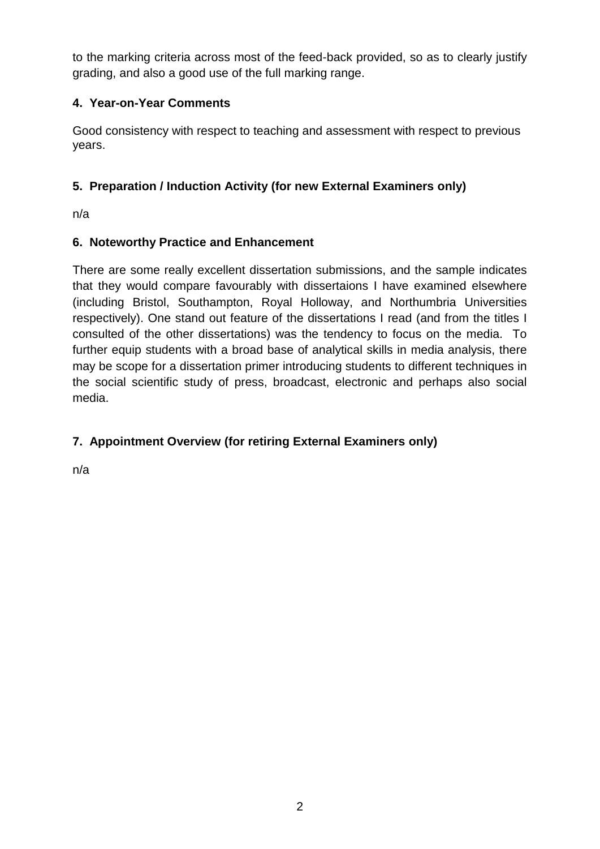to the marking criteria across most of the feed-back provided, so as to clearly justify grading, and also a good use of the full marking range.

### **4. Year-on-Year Comments**

Good consistency with respect to teaching and assessment with respect to previous years.

# **5. Preparation / Induction Activity (for new External Examiners only)**

n/a

### **6. Noteworthy Practice and Enhancement**

There are some really excellent dissertation submissions, and the sample indicates that they would compare favourably with dissertaions I have examined elsewhere (including Bristol, Southampton, Royal Holloway, and Northumbria Universities respectively). One stand out feature of the dissertations I read (and from the titles I consulted of the other dissertations) was the tendency to focus on the media. To further equip students with a broad base of analytical skills in media analysis, there may be scope for a dissertation primer introducing students to different techniques in the social scientific study of press, broadcast, electronic and perhaps also social media.

# **7. Appointment Overview (for retiring External Examiners only)**

n/a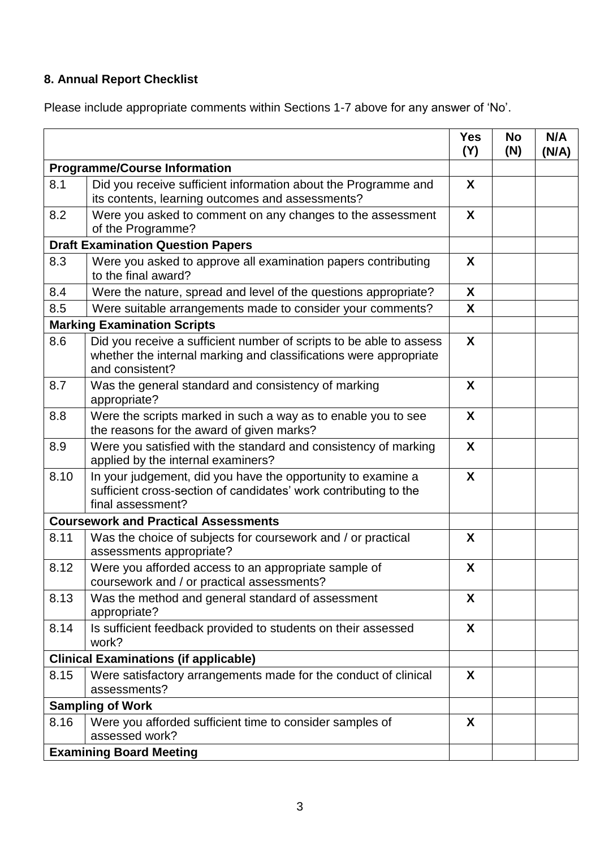# **8. Annual Report Checklist**

Please include appropriate comments within Sections 1-7 above for any answer of 'No'.

|                                             |                                                                                                                                                             | <b>Yes</b><br>(Y) | <b>No</b><br>(N) | N/A<br>(N/A) |
|---------------------------------------------|-------------------------------------------------------------------------------------------------------------------------------------------------------------|-------------------|------------------|--------------|
| <b>Programme/Course Information</b>         |                                                                                                                                                             |                   |                  |              |
| 8.1                                         | Did you receive sufficient information about the Programme and<br>its contents, learning outcomes and assessments?                                          | X                 |                  |              |
| 8.2                                         | Were you asked to comment on any changes to the assessment<br>of the Programme?                                                                             | X                 |                  |              |
| <b>Draft Examination Question Papers</b>    |                                                                                                                                                             |                   |                  |              |
| 8.3                                         | Were you asked to approve all examination papers contributing<br>to the final award?                                                                        | X                 |                  |              |
| 8.4                                         | Were the nature, spread and level of the questions appropriate?                                                                                             | X                 |                  |              |
| 8.5                                         | Were suitable arrangements made to consider your comments?                                                                                                  | X                 |                  |              |
|                                             | <b>Marking Examination Scripts</b>                                                                                                                          |                   |                  |              |
| 8.6                                         | Did you receive a sufficient number of scripts to be able to assess<br>whether the internal marking and classifications were appropriate<br>and consistent? | X                 |                  |              |
| 8.7                                         | Was the general standard and consistency of marking<br>appropriate?                                                                                         | X                 |                  |              |
| 8.8                                         | Were the scripts marked in such a way as to enable you to see<br>the reasons for the award of given marks?                                                  | X                 |                  |              |
| 8.9                                         | Were you satisfied with the standard and consistency of marking<br>applied by the internal examiners?                                                       | X                 |                  |              |
| 8.10                                        | In your judgement, did you have the opportunity to examine a<br>sufficient cross-section of candidates' work contributing to the<br>final assessment?       | X                 |                  |              |
| <b>Coursework and Practical Assessments</b> |                                                                                                                                                             |                   |                  |              |
| 8.11                                        | Was the choice of subjects for coursework and / or practical<br>assessments appropriate?                                                                    | X                 |                  |              |
| 8.12                                        | Were you afforded access to an appropriate sample of<br>coursework and / or practical assessments?                                                          | X                 |                  |              |
| 8.13                                        | Was the method and general standard of assessment<br>appropriate?                                                                                           | X                 |                  |              |
| 8.14                                        | Is sufficient feedback provided to students on their assessed<br>work?                                                                                      | X                 |                  |              |
|                                             | <b>Clinical Examinations (if applicable)</b>                                                                                                                |                   |                  |              |
| 8.15                                        | Were satisfactory arrangements made for the conduct of clinical<br>assessments?                                                                             | X                 |                  |              |
|                                             | <b>Sampling of Work</b>                                                                                                                                     |                   |                  |              |
| 8.16                                        | Were you afforded sufficient time to consider samples of<br>assessed work?                                                                                  | X                 |                  |              |
| <b>Examining Board Meeting</b>              |                                                                                                                                                             |                   |                  |              |